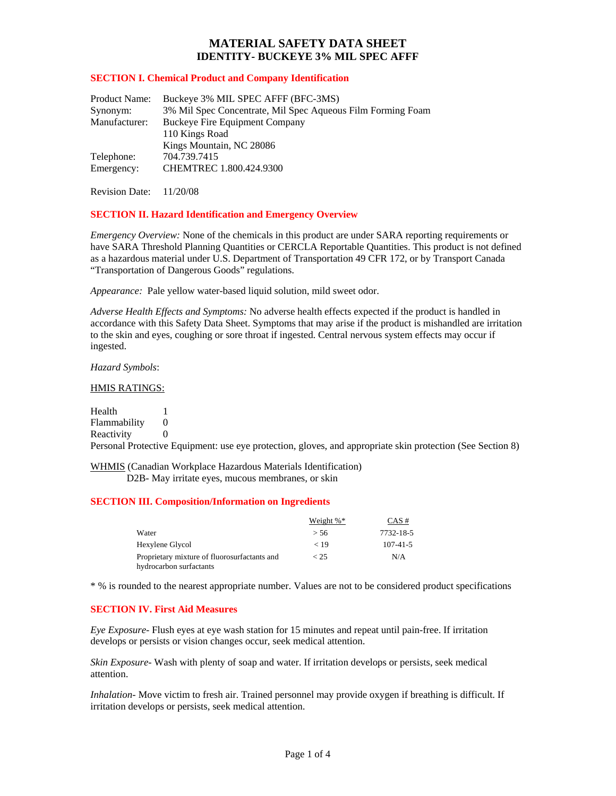#### **SECTION I. Chemical Product and Company Identification**

| Product Name: | Buckeye 3% MIL SPEC AFFF (BFC-3MS)                          |  |
|---------------|-------------------------------------------------------------|--|
| Synonym:      | 3% Mil Spec Concentrate, Mil Spec Aqueous Film Forming Foam |  |
| Manufacturer: | Buckeye Fire Equipment Company                              |  |
|               | 110 Kings Road                                              |  |
|               | Kings Mountain, NC 28086                                    |  |
| Telephone:    | 704.739.7415                                                |  |
| Emergency:    | CHEMTREC 1.800.424.9300                                     |  |
|               |                                                             |  |

Revision Date: 11/20/08

#### **SECTION II. Hazard Identification and Emergency Overview**

*Emergency Overview:* None of the chemicals in this product are under SARA reporting requirements or have SARA Threshold Planning Quantities or CERCLA Reportable Quantities. This product is not defined as a hazardous material under U.S. Department of Transportation 49 CFR 172, or by Transport Canada "Transportation of Dangerous Goods" regulations.

*Appearance:* Pale yellow water-based liquid solution, mild sweet odor.

*Adverse Health Effects and Symptoms:* No adverse health effects expected if the product is handled in accordance with this Safety Data Sheet. Symptoms that may arise if the product is mishandled are irritation to the skin and eyes, coughing or sore throat if ingested. Central nervous system effects may occur if ingested.

*Hazard Symbols*:

#### HMIS RATINGS:

Health 1 Flammability 0 Reactivity 0

Personal Protective Equipment: use eye protection, gloves, and appropriate skin protection (See Section 8)

WHMIS (Canadian Workplace Hazardous Materials Identification)

D2B- May irritate eyes, mucous membranes, or skin

### **SECTION III. Composition/Information on Ingredients**

|                                                                         | Weight $\%$ <sup>*</sup> | $CAS \#$       |
|-------------------------------------------------------------------------|--------------------------|----------------|
| Water                                                                   | > 56                     | 7732-18-5      |
| Hexylene Glycol                                                         | < 19                     | $107 - 41 - 5$ |
| Proprietary mixture of fluorosurfactants and<br>hydrocarbon surfactants | < 25                     | N/A            |

\* % is rounded to the nearest appropriate number. Values are not to be considered product specifications

### **SECTION IV. First Aid Measures**

*Eye Exposure*- Flush eyes at eye wash station for 15 minutes and repeat until pain-free. If irritation develops or persists or vision changes occur, seek medical attention.

*Skin Exposure*- Wash with plenty of soap and water. If irritation develops or persists, seek medical attention.

*Inhalation*- Move victim to fresh air. Trained personnel may provide oxygen if breathing is difficult. If irritation develops or persists, seek medical attention.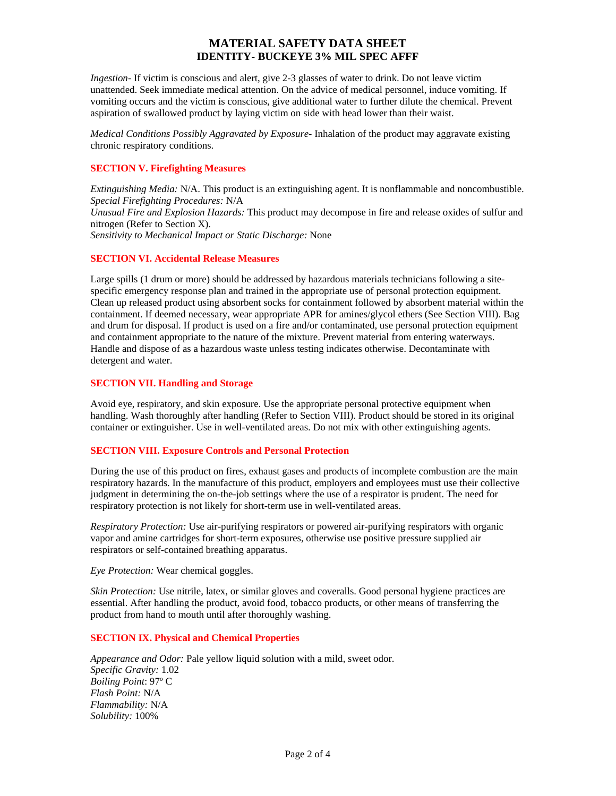*Ingestion*- If victim is conscious and alert, give 2-3 glasses of water to drink. Do not leave victim unattended. Seek immediate medical attention. On the advice of medical personnel, induce vomiting. If vomiting occurs and the victim is conscious, give additional water to further dilute the chemical. Prevent aspiration of swallowed product by laying victim on side with head lower than their waist.

*Medical Conditions Possibly Aggravated by Exposure*- Inhalation of the product may aggravate existing chronic respiratory conditions.

#### **SECTION V. Firefighting Measures**

*Extinguishing Media:* N/A. This product is an extinguishing agent. It is nonflammable and noncombustible. *Special Firefighting Procedures:* N/A *Unusual Fire and Explosion Hazards:* This product may decompose in fire and release oxides of sulfur and nitrogen (Refer to Section X). *Sensitivity to Mechanical Impact or Static Discharge:* None

#### **SECTION VI. Accidental Release Measures**

Large spills (1 drum or more) should be addressed by hazardous materials technicians following a sitespecific emergency response plan and trained in the appropriate use of personal protection equipment. Clean up released product using absorbent socks for containment followed by absorbent material within the containment. If deemed necessary, wear appropriate APR for amines/glycol ethers (See Section VIII). Bag and drum for disposal. If product is used on a fire and/or contaminated, use personal protection equipment and containment appropriate to the nature of the mixture. Prevent material from entering waterways. Handle and dispose of as a hazardous waste unless testing indicates otherwise. Decontaminate with detergent and water.

#### **SECTION VII. Handling and Storage**

Avoid eye, respiratory, and skin exposure. Use the appropriate personal protective equipment when handling. Wash thoroughly after handling (Refer to Section VIII). Product should be stored in its original container or extinguisher. Use in well-ventilated areas. Do not mix with other extinguishing agents.

### **SECTION VIII. Exposure Controls and Personal Protection**

During the use of this product on fires, exhaust gases and products of incomplete combustion are the main respiratory hazards. In the manufacture of this product, employers and employees must use their collective judgment in determining the on-the-job settings where the use of a respirator is prudent. The need for respiratory protection is not likely for short-term use in well-ventilated areas.

*Respiratory Protection:* Use air-purifying respirators or powered air-purifying respirators with organic vapor and amine cartridges for short-term exposures, otherwise use positive pressure supplied air respirators or self-contained breathing apparatus.

*Eye Protection:* Wear chemical goggles.

*Skin Protection:* Use nitrile, latex, or similar gloves and coveralls. Good personal hygiene practices are essential. After handling the product, avoid food, tobacco products, or other means of transferring the product from hand to mouth until after thoroughly washing.

#### **SECTION IX. Physical and Chemical Properties**

*Appearance and Odor:* Pale yellow liquid solution with a mild, sweet odor. *Specific Gravity:* 1.02 *Boiling Point*: 97º C *Flash Point:* N/A *Flammability:* N/A *Solubility:* 100%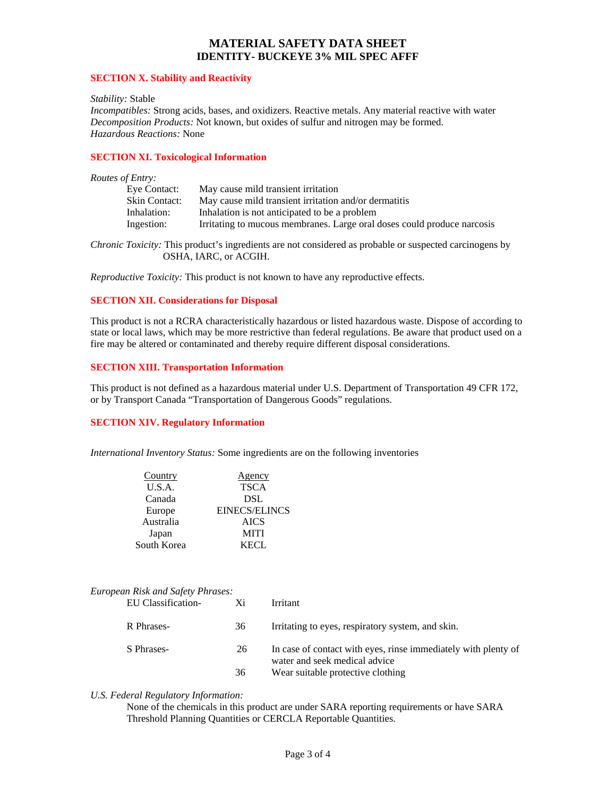#### **SECTION X. Stability and Reactivity**

#### *Stability:* Stable

*Incompatibles:* Strong acids, bases, and oxidizers. Reactive metals. Any material reactive with water *Decomposition Products:* Not known, but oxides of sulfur and nitrogen may be formed. *Hazardous Reactions:* None

### **SECTION XI. Toxicological Information**

#### *Routes of Entry:*

| Eye Contact:  | May cause mild transient irritation                                     |
|---------------|-------------------------------------------------------------------------|
| Skin Contact: | May cause mild transient irritation and/or dermatitis                   |
| Inhalation:   | Inhalation is not anticipated to be a problem                           |
| Ingestion:    | Irritating to mucous membranes. Large oral doses could produce narcosis |

*Chronic Toxicity:* This product's ingredients are not considered as probable or suspected carcinogens by OSHA, IARC, or ACGIH.

*Reproductive Toxicity:* This product is not known to have any reproductive effects.

#### **SECTION XII. Considerations for Disposal**

This product is not a RCRA characteristically hazardous or listed hazardous waste. Dispose of according to state or local laws, which may be more restrictive than federal regulations. Be aware that product used on a fire may be altered or contaminated and thereby require different disposal considerations.

#### **SECTION XIII. Transportation Information**

This product is not defined as a hazardous material under U.S. Department of Transportation 49 CFR 172, or by Transport Canada "Transportation of Dangerous Goods" regulations.

### **SECTION XIV. Regulatory Information**

*International Inventory Status:* Some ingredients are on the following inventories

| Country     | Agency               |
|-------------|----------------------|
| U.S.A.      | <b>TSCA</b>          |
| Canada      | <b>DSL</b>           |
| Europe      | <b>EINECS/ELINCS</b> |
| Australia   | <b>AICS</b>          |
| Japan       | <b>MITI</b>          |
| South Korea | KECL.                |
|             |                      |

### *European Risk and Safety Phrases:*

| EU Classification- | Xi | Irritant                                                                                        |
|--------------------|----|-------------------------------------------------------------------------------------------------|
| R Phrases-         | 36 | Irritating to eyes, respiratory system, and skin.                                               |
| S Phrases-         | 26 | In case of contact with eyes, rinse immediately with plenty of<br>water and seek medical advice |
|                    | 36 | Wear suitable protective clothing                                                               |

#### *U.S. Federal Regulatory Information:*

None of the chemicals in this product are under SARA reporting requirements or have SARA Threshold Planning Quantities or CERCLA Reportable Quantities.